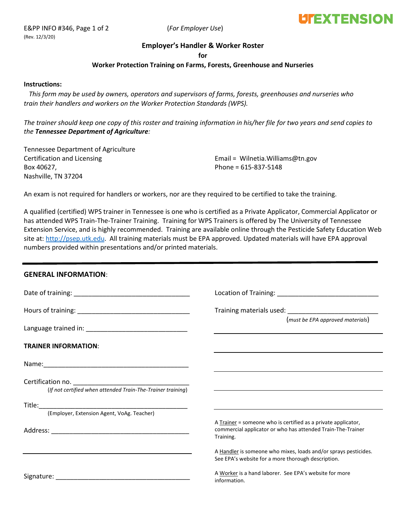# **LITEXTENSION**

# **Employer's Handler & Worker Roster**

**for**

## **Worker Protection Training on Farms, Forests, Greenhouse and Nurseries**

#### **Instructions:**

 *This form may be used by owners, operators and supervisors of farms, forests, greenhouses and nurseries who train their handlers and workers on the Worker Protection Standards (WPS).*

*The trainer should keep one copy of this roster and training information in his/her file for two years and send copies to the Tennessee Department of Agriculture:*

Tennessee Department of Agriculture Certification and Licensing Box 40627, Nashville, TN 37204

Email = Wilnetia.Williams@tn.gov Phone = 615-837-5148

An exam is not required for handlers or workers, nor are they required to be certified to take the training.

A qualified (certified) WPS trainer in Tennessee is one who is certified as a Private Applicator, Commercial Applicator or has attended WPS Train-The-Trainer Training. Training for WPS Trainers is offered by The University of Tennessee Extension Service, and is highly recommended. Training are available online through the Pesticide Safety Education Web site at: [http://psep.utk.edu.](http://psep.utk.edu/) All training materials must be EPA approved. Updated materials will have EPA approval numbers provided within presentations and/or printed materials.

## **GENERAL INFORMATION**:

|                                                                                  | Location of Training: National Procession of Training:                                                                                    |  |  |
|----------------------------------------------------------------------------------|-------------------------------------------------------------------------------------------------------------------------------------------|--|--|
|                                                                                  | Training materials used: Training materials used:                                                                                         |  |  |
|                                                                                  | (must be EPA approved materials)                                                                                                          |  |  |
| <b>TRAINER INFORMATION:</b>                                                      |                                                                                                                                           |  |  |
|                                                                                  |                                                                                                                                           |  |  |
| Certification no.<br>(If not certified when attended Train-The-Trainer training) |                                                                                                                                           |  |  |
|                                                                                  |                                                                                                                                           |  |  |
| (Employer, Extension Agent, VoAg. Teacher)                                       |                                                                                                                                           |  |  |
|                                                                                  | A Trainer = someone who is certified as a private applicator,<br>commercial applicator or who has attended Train-The-Trainer<br>Training. |  |  |
|                                                                                  | A Handler is someone who mixes, loads and/or sprays pesticides.<br>See EPA's website for a more thorough description.                     |  |  |
|                                                                                  | A Worker is a hand laborer. See EPA's website for more<br>information.                                                                    |  |  |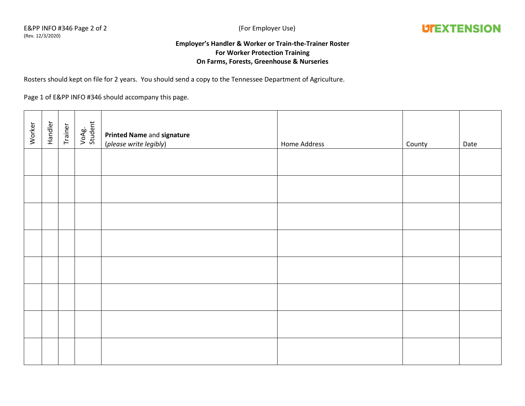

# **Employer's Handler & Worker or Train-the-Trainer Roster For Worker Protection Training On Farms, Forests, Greenhouse & Nurseries**

Rosters should kept on file for 2 years. You should send a copy to the Tennessee Department of Agriculture.

Page 1 of E&PP INFO #346 should accompany this page.

| Worker | Handler | Trainer | VoAg.<br>Student | Printed Name and signature<br>(please write legibly) | Home Address | County | Date |
|--------|---------|---------|------------------|------------------------------------------------------|--------------|--------|------|
|        |         |         |                  |                                                      |              |        |      |
|        |         |         |                  |                                                      |              |        |      |
|        |         |         |                  |                                                      |              |        |      |
|        |         |         |                  |                                                      |              |        |      |
|        |         |         |                  |                                                      |              |        |      |
|        |         |         |                  |                                                      |              |        |      |
|        |         |         |                  |                                                      |              |        |      |
|        |         |         |                  |                                                      |              |        |      |